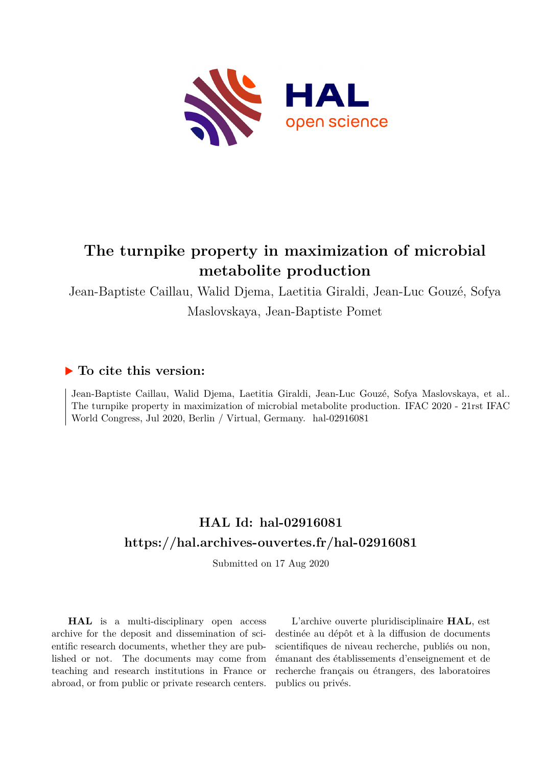

# **The turnpike property in maximization of microbial metabolite production**

Jean-Baptiste Caillau, Walid Djema, Laetitia Giraldi, Jean-Luc Gouzé, Sofya Maslovskaya, Jean-Baptiste Pomet

# **To cite this version:**

Jean-Baptiste Caillau, Walid Djema, Laetitia Giraldi, Jean-Luc Gouzé, Sofya Maslovskaya, et al.. The turnpike property in maximization of microbial metabolite production. IFAC 2020 - 21rst IFAC World Congress, Jul 2020, Berlin / Virtual, Germany. hal-02916081

# **HAL Id: hal-02916081 <https://hal.archives-ouvertes.fr/hal-02916081>**

Submitted on 17 Aug 2020

**HAL** is a multi-disciplinary open access archive for the deposit and dissemination of scientific research documents, whether they are published or not. The documents may come from teaching and research institutions in France or abroad, or from public or private research centers.

L'archive ouverte pluridisciplinaire **HAL**, est destinée au dépôt et à la diffusion de documents scientifiques de niveau recherche, publiés ou non, émanant des établissements d'enseignement et de recherche français ou étrangers, des laboratoires publics ou privés.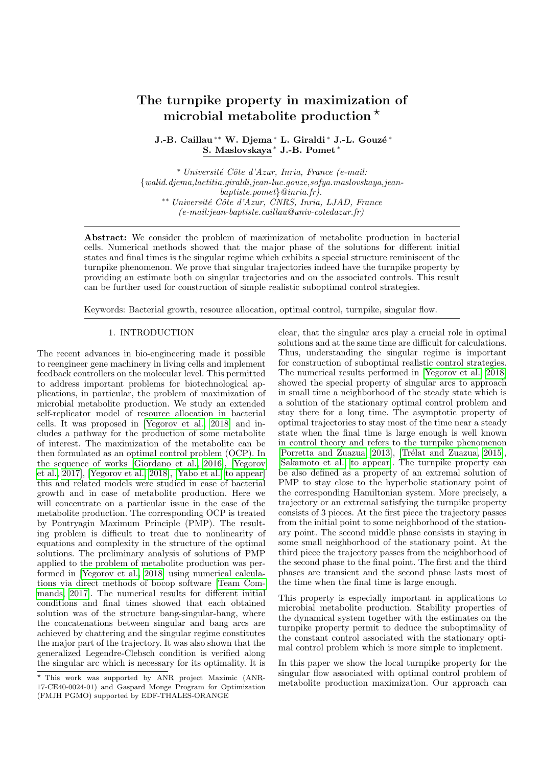# The turnpike property in maximization of microbial metabolite production  $\star$

J.-B. Caillau <sup>\*\*</sup> W. Djema <sup>\*</sup> L. Giraldi <sup>\*</sup> J.-L. Gouzé <sup>\*</sup> S. Maslovskaya <sup>∗</sup> J.-B. Pomet <sup>∗</sup>

<sup>∗</sup> Universit´e Cˆote d'Azur, Inria, France (e-mail: {walid.djema,laetitia.giraldi,jean-luc.gouze,sofya.maslovskaya,jeanbaptiste.pomet}@inria.fr). ∗∗ Universit´e Cˆote d'Azur, CNRS, Inria, LJAD, France (e-mail:jean-baptiste.caillau@univ-cotedazur.fr)

Abstract: We consider the problem of maximization of metabolite production in bacterial cells. Numerical methods showed that the major phase of the solutions for different initial states and final times is the singular regime which exhibits a special structure reminiscent of the turnpike phenomenon. We prove that singular trajectories indeed have the turnpike property by providing an estimate both on singular trajectories and on the associated controls. This result can be further used for construction of simple realistic suboptimal control strategies.

Keywords: Bacterial growth, resource allocation, optimal control, turnpike, singular flow.

### 1. INTRODUCTION

The recent advances in bio-engineering made it possible to reengineer gene machinery in living cells and implement feedback controllers on the molecular level. This permitted to address important problems for biotechnological applications, in particular, the problem of maximization of microbial metabolite production. We study an extended self-replicator model of resource allocation in bacterial cells. It was proposed in [Yegorov et al., 2018] and includes a pathway for the production of some metabolite of interest. The maximization of the metabolite can be then formulated as an optimal control problem (OCP). In the sequence of works [Giordano et al., 2016], [Yegorov et al., 2017], [Yegorov et al., 2018], [Yabo et al., to appear] this and related models were studied in case of bacterial growth and in case of metabolite production. Here we will concentrate on a particular issue in the case of the metabolite production. The corresponding OCP is treated by Pontryagin Maximum Principle (PMP). The resulting problem is difficult to treat due to nonlinearity of equations and complexity in the structure of the optimal solutions. The preliminary analysis of solutions of PMP applied to the problem of metabolite production was performed in [Yegorov et al., 2018] using numerical calculations via direct methods of bocop software [Team Commands, 2017]. The numerical results for different initial conditions and final times showed that each obtained solution was of the structure bang-singular-bang, where the concatenations between singular and bang arcs are achieved by chattering and the singular regime constitutes the major part of the trajectory. It was also shown that the generalized Legendre-Clebsch condition is verified along the singular arc which is necessary for its optimality. It is

clear, that the singular arcs play a crucial role in optimal solutions and at the same time are difficult for calculations. Thus, understanding the singular regime is important for construction of suboptimal realistic control strategies. The numerical results performed in [Yegorov et al., 2018] showed the special property of singular arcs to approach in small time a neighborhood of the steady state which is a solution of the stationary optimal control problem and stay there for a long time. The asymptotic property of optimal trajectories to stay most of the time near a steady state when the final time is large enough is well known in control theory and refers to the turnpike phenomenon [Porretta and Zuazua, 2013], [Trélat and Zuazua, 2015], [Sakamoto et al., to appear]. The turnpike property can be also defined as a property of an extremal solution of PMP to stay close to the hyperbolic stationary point of the corresponding Hamiltonian system. More precisely, a trajectory or an extremal satisfying the turnpike property consists of 3 pieces. At the first piece the trajectory passes from the initial point to some neighborhood of the stationary point. The second middle phase consists in staying in some small neighborhood of the stationary point. At the third piece the trajectory passes from the neighborhood of the second phase to the final point. The first and the third phases are transient and the second phase lasts most of the time when the final time is large enough.

This property is especially important in applications to microbial metabolite production. Stability properties of the dynamical system together with the estimates on the turnpike property permit to deduce the suboptimality of the constant control associated with the stationary optimal control problem which is more simple to implement.

In this paper we show the local turnpike property for the singular flow associated with optimal control problem of metabolite production maximization. Our approach can

<sup>?</sup> This work was supported by ANR project Maximic (ANR-17-CE40-0024-01) and Gaspard Monge Program for Optimization (FMJH PGMO) supported by EDF-THALES-ORANGE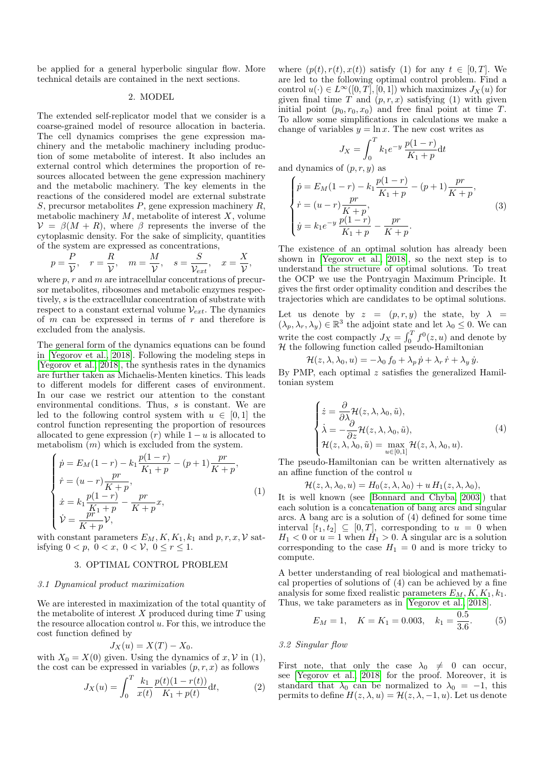be applied for a general hyperbolic singular flow. More technical details are contained in the next sections.

## 2. MODEL

The extended self-replicator model that we consider is a coarse-grained model of resource allocation in bacteria. The cell dynamics comprises the gene expression machinery and the metabolic machinery including production of some metabolite of interest. It also includes an external control which determines the proportion of resources allocated between the gene expression machinery and the metabolic machinery. The key elements in the reactions of the considered model are external substrate S, precursor metabolites  $P$ , gene expression machinery  $R$ , metabolic machinery  $M$ , metabolite of interest  $X$ , volume  $\mathcal{V} = \beta(M + R)$ , where  $\beta$  represents the inverse of the cytoplasmic density. For the sake of simplicity, quantities of the system are expressed as concentrations,

$$
p = \frac{P}{V}
$$
,  $r = \frac{R}{V}$ ,  $m = \frac{M}{V}$ ,  $s = \frac{S}{V_{ext}}$ ,  $x = \frac{X}{V}$ ,

where  $p, r$  and  $m$  are intracellular concentrations of precursor metabolites, ribosomes and metabolic enzymes respectively, s is the extracellular concentration of substrate with respect to a constant external volume  $V_{ext}$ . The dynamics of  $m$  can be expressed in terms of  $r$  and therefore is excluded from the analysis.

The general form of the dynamics equations can be found in [Yegorov et al., 2018]. Following the modeling steps in [Yegorov et al., 2018], the synthesis rates in the dynamics are further taken as Michaelis-Menten kinetics. This leads to different models for different cases of environment. In our case we restrict our attention to the constant environmental conditions. Thus, s is constant. We are led to the following control system with  $u \in [0,1]$  the control function representing the proportion of resources allocated to gene expression  $(r)$  while  $1 - u$  is allocated to metabolism  $(m)$  which is excluded from the system.

$$
\begin{cases}\n\dot{p} = E_M(1-r) - k_1 \frac{p(1-r)}{K_1 + p} - (p+1) \frac{pr}{K+p}, \\
\dot{r} = (u-r) \frac{pr}{K+p}, \\
\dot{x} = k_1 \frac{p(1-r)}{K_1 + p} - \frac{pr}{K+p}x, \\
\dot{V} = \frac{pr}{K+p}V,\n\end{cases}
$$
\n(1)

with constant parameters  $E_M, K, K_1, k_1$  and  $p, r, x, V$  satisfying  $0 < p, \ 0 < x, \ 0 < \mathcal{V}, \ 0 \le r \le 1.$ 

#### 3. OPTIMAL CONTROL PROBLEM

#### 3.1 Dynamical product maximization

We are interested in maximization of the total quantity of the metabolite of interest  $X$  produced during time  $T$  using the resource allocation control  $u$ . For this, we introduce the cost function defined by

$$
J_X(u) = X(T) - X_0.
$$

with  $X_0 = X(0)$  given. Using the dynamics of  $x, V$  in (1), the cost can be expressed in variables  $(p, r, x)$  as follows

$$
J_X(u) = \int_0^T \frac{k_1}{x(t)} \frac{p(t)(1 - r(t))}{K_1 + p(t)} dt,
$$
 (2)

where  $(p(t), r(t), x(t))$  satisfy (1) for any  $t \in [0, T]$ . We are led to the following optimal control problem. Find a control  $u(\cdot) \in L^{\infty}([0,T], [0,1])$  which maximizes  $J_X(u)$  for given final time  $T$  and  $(p, r, x)$  satisfying (1) with given initial point  $(p_0, r_0, x_0)$  and free final point at time T. To allow some simplifications in calculations we make a change of variables  $y = \ln x$ . The new cost writes as

$$
J_X = \int_0^T k_1 e^{-y} \frac{p(1-r)}{K_1 + p} \mathrm{d}t
$$

and dynamics of  $(p, r, y)$  as

$$
\begin{cases}\n\dot{p} = E_M(1-r) - k_1 \frac{p(1-r)}{K_1+p} - (p+1) \frac{pr}{K+p}, \\
\dot{r} = (u-r) \frac{pr}{K+p}, \\
\dot{y} = k_1 e^{-y} \frac{p(1-r)}{K_1+p} - \frac{pr}{K+p}.\n\end{cases}
$$
\n(3)

The existence of an optimal solution has already been shown in [Yegorov et al., 2018], so the next step is to understand the structure of optimal solutions. To treat the OCP we use the Pontryagin Maximum Principle. It gives the first order optimality condition and describes the trajectories which are candidates to be optimal solutions.

Let us denote by  $z = (p, r, y)$  the state, by  $\lambda =$  $(\lambda_p, \lambda_r, \lambda_y) \in \mathbb{R}^3$  the adjoint state and let  $\lambda_0 \leq 0$ . We can write the cost compactly  $J_X = \int_0^T f^0(z, u)$  and denote by  $H$  the following function called pseudo-Hamiltonian

$$
\mathcal{H}(z,\lambda,\lambda_0,u)=-\lambda_0 f_0+\lambda_p\,\dot{p}+\lambda_r\,\dot{r}+\lambda_y\,\dot{y}.
$$

By PMP, each optimal  $z$  satisfies the generalized Hamiltonian system

$$
\begin{cases}\n\dot{z} = \frac{\partial}{\partial \lambda} \mathcal{H}(z, \lambda, \lambda_0, \tilde{u}), \\
\dot{\lambda} = -\frac{\partial}{\partial z} \mathcal{H}(z, \lambda, \lambda_0, \tilde{u}), \\
\mathcal{H}(z, \lambda, \lambda_0, \tilde{u}) = \max_{u \in [0,1]} \mathcal{H}(z, \lambda, \lambda_0, u).\n\end{cases}
$$
\n(4)

The pseudo-Hamiltonian can be written alternatively as an affine function of the control  $\boldsymbol{u}$ 

$$
\mathcal{H}(z, \lambda, \lambda_0, u) = H_0(z, \lambda, \lambda_0) + u H_1(z, \lambda, \lambda_0),
$$

It is well known (see [Bonnard and Chyba, 2003]) that each solution is a concatenation of bang arcs and singular arcs. A bang arc is a solution of (4) defined for some time interval  $[t_1, t_2] \subseteq [0, T]$ , corresponding to  $u = 0$  when  $H_1 < 0$  or  $u = 1$  when  $H_1 > 0$ . A singular arc is a solution corresponding to the case  $H_1 = 0$  and is more tricky to compute.

A better understanding of real biological and mathematical properties of solutions of (4) can be achieved by a fine analysis for some fixed realistic parameters  $E_M, K, K_1, k_1$ . Thus, we take parameters as in [Yegorov et al., 2018].

$$
E_M = 1, \quad K = K_1 = 0.003, \quad k_1 = \frac{0.5}{3.6}.
$$
 (5)

#### 3.2 Singular flow

First note, that only the case  $\lambda_0 \neq 0$  can occur, see [Yegorov et al., 2018] for the proof. Moreover, it is standard that  $\lambda_0$  can be normalized to  $\lambda_0 = -1$ , this permits to define  $H(z, \lambda, u) = \mathcal{H}(z, \lambda, -1, u)$ . Let us denote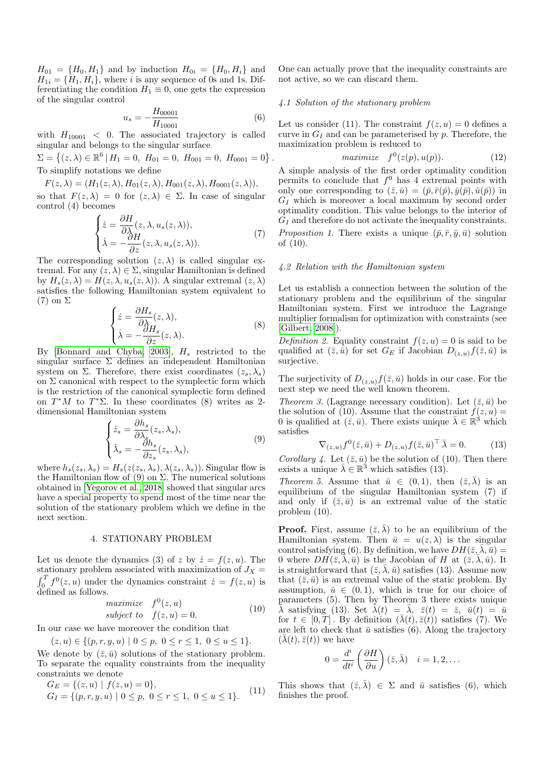$H_{01} = \{H_0, H_1\}$  and by induction  $H_{0i} = \{H_0, H_i\}$  and  $H_{1i} = \{H_1, H_i\}$ , where i is any sequence of 0s and 1s. Differentiating the condition  $H_1 \equiv 0$ , one gets the expression of the singular control

$$
u_s = -\frac{H_{00001}}{H_{10001}}\tag{6}
$$

with  $H_{10001}$  < 0. The associated trajectory is called singular and belongs to the singular surface

 $\Sigma = \{(z, \lambda) \in \mathbb{R}^6 | H_1 = 0, H_{01} = 0, H_{001} = 0, H_{0001} = 0\}.$ To simplify notations we define

 $F(z, \lambda) = (H_1(z, \lambda), H_{01}(z, \lambda), H_{001}(z, \lambda), H_{0001}(z, \lambda)),$ 

so that  $F(z, \lambda) = 0$  for  $(z, \lambda) \in \Sigma$ . In case of singular control (4) becomes

$$
\begin{cases}\n\dot{z} = \frac{\partial H}{\partial \lambda}(z, \lambda, u_s(z, \lambda)), \\
\dot{\lambda} = -\frac{\partial H}{\partial z}(z, \lambda, u_s(z, \lambda)).\n\end{cases} (7)
$$

The corresponding solution  $(z, \lambda)$  is called singular extremal. For any  $(z, \lambda) \in \Sigma$ , singular Hamiltonian is defined by  $H_s(z, \lambda) = H(z, \lambda, u_s(z, \lambda))$ . A singular extremal  $(z, \lambda)$ satisfies the following Hamiltonian system equivalent to (7) on Σ

$$
\begin{cases}\n\dot{z} = \frac{\partial H_s}{\partial \lambda}(z, \lambda), \\
\dot{\lambda} = -\frac{\partial H_s}{\partial z}(z, \lambda).\n\end{cases}
$$
\n(8)

By [Bonnard and Chyba, 2003],  $H_s$  restricted to the singular surface  $\Sigma$  defines an independent Hamiltonian system on Σ. Therefore, there exist coordinates  $(z_s, \lambda_s)$ on  $\Sigma$  canonical with respect to the symplectic form which is the restriction of the canonical symplectic form defined on  $T^*M$  to  $T^*\Sigma$ . In these coordinates (8) writes as 2dimensional Hamiltonian system

$$
\begin{cases}\n\dot{z}_s = \frac{\partial h_s}{\partial \lambda_s}(z_s, \lambda_s), \\
\dot{\lambda}_s = -\frac{\partial h_s}{\partial z_s}(z_s, \lambda_s),\n\end{cases} \tag{9}
$$

where  $h_s(z_s, \lambda_s) = H_s(z(z_s, \lambda_s), \lambda(z_s, \lambda_s))$ . Singular flow is the Hamiltonian flow of (9) on  $\Sigma$ . The numerical solutions obtained in [Yegorov et al., 2018] showed that singular arcs have a special property to spend most of the time near the solution of the stationary problem which we define in the next section.

## 4. STATIONARY PROBLEM

Let us denote the dynamics (3) of z by  $\dot{z} = f(z, u)$ . The stationary problem associated with maximization of  $J_X =$  $\int_0^T f^0(z, u)$  under the dynamics constraint  $\dot{z} = f(z, u)$  is defined as follows.

$$
\begin{array}{ll}\n\text{maximize} & f^0(z, u) \\
\text{subject to} & f(z, u) = 0.\n\end{array} \tag{10}
$$

In our case we have moreover the condition that

 $(z, u) \in \{(p, r, y, u) \mid 0 \le p, 0 \le r \le 1, 0 \le u \le 1\}.$ 

We denote by  $(\bar{z}, \bar{u})$  solutions of the stationary problem. To separate the equality constraints from the inequality constraints we denote

$$
G_E = \{(z, u) \mid f(z, u) = 0\},
$$
  
\n
$$
G_I = \{(p, r, y, u) \mid 0 \le p, 0 \le r \le 1, 0 \le u \le 1\}.
$$
\n(11)

One can actually prove that the inequality constraints are not active, so we can discard them.

### 4.1 Solution of the stationary problem

Let us consider (11). The constraint  $f(z, u) = 0$  defines a curve in  $G_I$  and can be parameterised by p. Therefore, the maximization problem is reduced to

$$
maximize \t f^{0}(z(p), u(p)). \t(12)
$$

A simple analysis of the first order optimality condition permits to conclude that  $f^0$  has 4 extremal points with only one corresponding to  $(\bar{z}, \bar{u}) = (\bar{p}, \bar{r}(\bar{p}), \bar{y}(\bar{p}), \bar{u}(\bar{p}))$  in  $G_I$  which is moreover a local maximum by second order optimality condition. This value belongs to the interior of  $G_I$  and therefore do not activate the inequality constraints. *Proposition 1.* There exists a unique  $(\bar{p}, \bar{r}, \bar{y}, \bar{u})$  solution of (10).

#### 4.2 Relation with the Hamiltonian system

Let us establish a connection between the solution of the stationary problem and the equilibrium of the singular Hamiltonian system. First we introduce the Lagrange multiplier formalism for optimization with constraints (see [Gilbert, 2008]).

Definition 2. Equality constraint  $f(z, u) = 0$  is said to be qualified at  $(\bar{z}, \bar{u})$  for set  $G_E$  if Jacobian  $D_{(z,u)}f(\bar{z}, \bar{u})$  is surjective.

The surjectivity of  $D_{(z,u)}f(\bar{z},\bar{u})$  holds in our case. For the next step we need the well known theorem.

Theorem 3. (Lagrange necessary condition). Let  $(\bar{z}, \bar{u})$  be the solution of (10). Assume that the constraint  $f(z, u) =$ 0 is qualified at  $(\bar{z}, \bar{u})$ . There exists unique  $\bar{\lambda} \in \mathbb{R}^3$  which satisfies

$$
\nabla_{(z,u)} f^0(\bar{z}, \bar{u}) + D_{(z,u)} f(\bar{z}, \bar{u})^\top \bar{\lambda} = 0.
$$
 (13)

Corollary 4. Let  $(\bar{z}, \bar{u})$  be the solution of (10). Then there exists a unique  $\bar{\lambda} \in \mathbb{R}^3$  which satisfies (13).

Theorem 5. Assume that  $\bar{u} \in (0,1)$ , then  $(\bar{z}, \bar{\lambda})$  is an equilibrium of the singular Hamiltonian system (7) if and only if  $(\bar{z}, \bar{u})$  is an extremal value of the static problem (10).

**Proof.** First, assume  $(\bar{z}, \bar{\lambda})$  to be an equilibrium of the Hamiltonian system. Then  $\bar{u} = u(z, \lambda)$  is the singular control satisfying (6). By definition, we have  $DH(\bar{z}, \bar{\lambda}, \bar{u}) =$ 0 where  $DH(\bar{z}, \bar{\lambda}, \bar{u})$  is the Jacobian of H at  $(\bar{z}, \bar{\lambda}, \bar{u})$ . It is straightforward that  $(\bar{z}, \bar{\lambda}, \bar{u})$  satisfies (13). Assume now that  $(\bar{z}, \bar{u})$  is an extremal value of the static problem. By assumption,  $\bar{u} \in (0, 1)$ , which is true for our choice of parameters (5). Then by Theorem 3 there exists unique  $\bar{\lambda}$  satisfying (13). Set  $\bar{\lambda}(t) = \bar{\lambda}, \bar{z}(t) = \bar{z}, \bar{u}(t) = \bar{u}$ for  $t \in [0, T]$ . By definition  $(\bar{\lambda}(t), \bar{z}(t))$  satisfies (7). We are left to check that  $\bar{u}$  satisfies (6). Along the trajectory  $(\lambda(t), \bar{z}(t))$  we have

$$
0 = \frac{d^i}{dt^i} \left( \frac{\partial H}{\partial u} \right) (\bar{z}, \bar{\lambda}) \quad i = 1, 2, \dots
$$

This shows that  $(\bar{z}, \bar{\lambda}) \in \Sigma$  and  $\bar{u}$  satisfies (6), which finishes the proof.